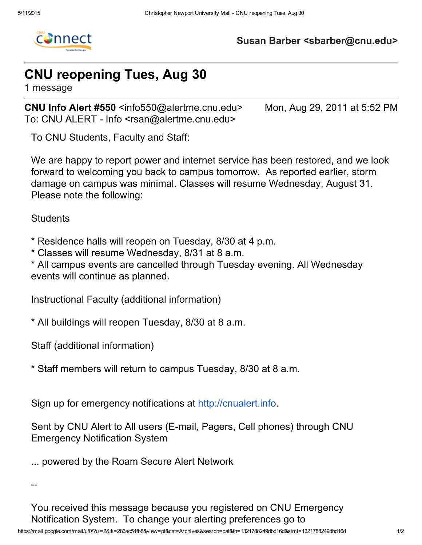

## Susan Barber <sbarber@cnu.edu>

## CNU reopening Tues, Aug 30

1 message

CNU Info Alert #550 <info550@alertme.cnu.edu> Mon, Aug 29, 2011 at 5:52 PM To: CNU ALERT - Info <rsan@alertme.cnu.edu>

To CNU Students, Faculty and Staff:

We are happy to report power and internet service has been restored, and we look forward to welcoming you back to campus tomorrow. As reported earlier, storm damage on campus was minimal. Classes will resume Wednesday, August 31. Please note the following:

**Students** 

\* Residence halls will reopen on Tuesday, 8/30 at 4 p.m.

\* Classes will resume Wednesday, 8/31 at 8 a.m.

\* All campus events are cancelled through Tuesday evening. All Wednesday events will continue as planned.

Instructional Faculty (additional information)

\* All buildings will reopen Tuesday, 8/30 at 8 a.m.

Staff (additional information)

\* Staff members will return to campus Tuesday, 8/30 at 8 a.m.

Sign up for emergency notifications at [http://cnualert.info.](http://cnualert.info/)

Sent by CNU Alert to All users (E-mail, Pagers, Cell phones) through CNU Emergency Notification System

... powered by the Roam Secure Alert Network

--

You received this message because you registered on CNU Emergency Notification System. To change your alerting preferences go to